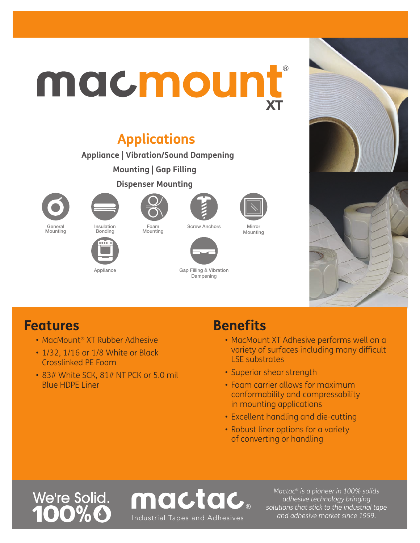# **XT** macmount

## **Applications**

**Appliance | Vibration/Sound Dampening**

**Mounting | Gap Filling**

**Dispenser Mounting**









Screw Anchors Mirror Mounting



### Mounting



Insulation Bonding





Appliance Gap Filling & Vibration Dampening



- MacMount® XT Rubber Adhesive
- 1/32, 1/16 or 1/8 White or Black Crosslinked PE Foam
- 83# White SCK, 81# NT PCK or 5.0 mil Blue HDPE Liner

## **Benefits**

- MacMount XT Adhesive performs well on a variety of surfaces including many difficult LSE substrates
- Superior shear strength
- Foam carrier allows for maximum conformability and compressability in mounting applications
- Excellent handling and die-cutting
- Robust liner options for a variety of converting or handling

# We're Solid.

mactac *and adhesive market since 1959.* Industrial Tapes and Adhesives

*Mactac® is a pioneer in 100% solids adhesive technology bringing solutions that stick to the industrial tape*